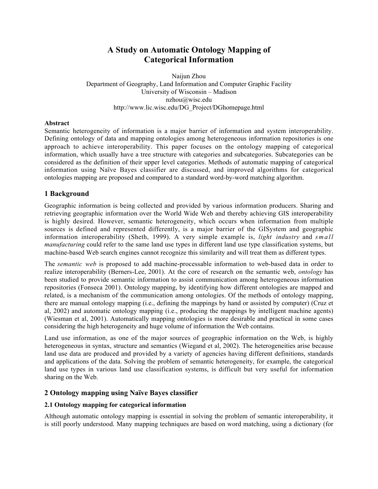# **A Study on Automatic Ontology Mapping of Categorical Information**

Naijun Zhou Department of Geography, Land Information and Computer Graphic Facility University of Wisconsin – Madison nzhou@wisc.edu http://www.lic.wisc.edu/DG\_Project/DGhomepage.html

# **Abstract**

Semantic heterogeneity of information is a major barrier of information and system interoperability. Defining ontology of data and mapping ontologies among heterogeneous information repositories is one approach to achieve interoperability. This paper focuses on the ontology mapping of categorical information, which usually have a tree structure with categories and subcategories. Subcategories can be considered as the definition of their upper level categories. Methods of automatic mapping of categorical information using Naïve Bayes classifier are discussed, and improved algorithms for categorical ontologies mapping are proposed and compared to a standard word-by-word matching algorithm.

# **1 Background**

Geographic information is being collected and provided by various information producers. Sharing and retrieving geographic information over the World Wide Web and thereby achieving GIS interoperability is highly desired. However, semantic heterogeneity, which occurs when information from multiple sources is defined and represented differently, is a major barrier of the GISystem and geographic information interoperability (Sheth, 1999). A very simple example is, *light industry* and *small manufacturing* could refer to the same land use types in different land use type classification systems, but machine-based Web search engines cannot recognize this similarity and will treat them as different types.

The *semantic web* is proposed to add machine-processable information to web-based data in order to realize interoperability (Berners-Lee, 2001). At the core of research on the semantic web, *ontology* has been studied to provide semantic information to assist communication among heterogeneous information repositories (Fonseca 2001). Ontology mapping, by identifying how different ontologies are mapped and related, is a mechanism of the communication among ontologies. Of the methods of ontology mapping, there are manual ontology mapping (i.e., defining the mappings by hand or assisted by computer) (Cruz et al, 2002) and automatic ontology mapping (i.e., producing the mappings by intelligent machine agents) (Wiesman et al, 2001). Automatically mapping ontologies is more desirable and practical in some cases considering the high heterogeneity and huge volume of information the Web contains.

Land use information, as one of the major sources of geographic information on the Web, is highly heterogeneous in syntax, structure and semantics (Wiegand et al, 2002). The heterogeneities arise because land use data are produced and provided by a variety of agencies having different definitions, standards and applications of the data. Solving the problem of semantic heterogeneity, for example, the categorical land use types in various land use classification systems, is difficult but very useful for information sharing on the Web.

# **2 Ontology mapping using Naïve Bayes classifier**

# **2.1 Ontology mapping for categorical information**

Although automatic ontology mapping is essential in solving the problem of semantic interoperability, it is still poorly understood. Many mapping techniques are based on word matching, using a dictionary (for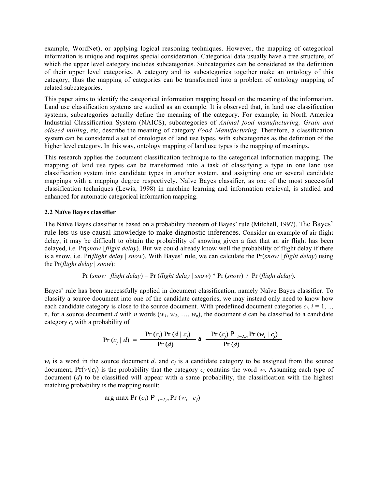example, WordNet), or applying logical reasoning techniques. However, the mapping of categorical information is unique and requires special consideration. Categorical data usually have a tree structure, of which the upper level category includes subcategories. Subcategories can be considered as the definition of their upper level categories. A category and its subcategories together make an ontology of this category, thus the mapping of categories can be transformed into a problem of ontology mapping of related subcategories.

This paper aims to identify the categorical information mapping based on the meaning of the information. Land use classification systems are studied as an example. It is observed that, in land use classification systems, subcategories actually define the meaning of the category. For example, in North America Industrial Classification System (NAICS), subcategories of *Animal food manufacturing, Grain and oilseed milling*, etc, describe the meaning of category *Food Manufacturing*. Therefore, a classification system can be considered a set of ontologies of land use types, with subcategories as the definition of the higher level category. In this way, ontology mapping of land use types is the mapping of meanings.

This research applies the document classification technique to the categorical information mapping. The mapping of land use types can be transformed into a task of classifying a type in one land use classification system into candidate types in another system, and assigning one or several candidate mappings with a mapping degree respectively. Naïve Bayes classifier, as one of the most successful classification techniques (Lewis, 1998) in machine learning and information retrieval, is studied and enhanced for automatic categorical information mapping.

# **2.2 Naïve Bayes classifier**

The Naïve Bayes classifier is based on a probability theorem of Bayes' rule (Mitchell, 1997). The Bayes' rule lets us use causal knowledge to make diagnostic inferences. Consider an example of air flight delay, it may be difficult to obtain the probability of snowing given a fact that an air flight has been delayed, i.e. Pr(*snow* | *flight delay*). But we could already know well the probability of flight delay if there is a snow, i.e. Pr(*flight delay* | *snow*). With Bayes' rule, we can calculate the Pr(*snow* | *flight delay*) using the Pr(*flight delay* | *snow*):

$$
Pr(snow | flight delay) = Pr(flight delay | snow) * Pr(snow) / Pr(flight delay).
$$

Bayes' rule has been successfully applied in document classification, namely Naïve Bayes classifier. To classify a source document into one of the candidate categories, we may instead only need to know how each candidate category is close to the source document. With predefined document categories  $c_i$ ,  $i = 1, \ldots$ n, for a source document *d* with *n* words  $(w_1, w_2, ..., w_n)$ , the document *d* can be classified to a candidate category *cj* with a probability of

$$
Pr(c_j | d) = \frac{Pr(c_j) Pr(d | c_j)}{Pr(d)} \cdot a \frac{Pr(c_j) P_{i=l,n} Pr(w_i | c_j)}{Pr(d)}
$$

 $w_i$  is a word in the source document *d*, and  $c_j$  is a candidate category to be assigned from the source document,  $Pr(w_i|c_j)$  is the probability that the category  $c_j$  contains the word  $w_i$ . Assuming each type of document (*d*) to be classified will appear with a same probability, the classification with the highest matching probability is the mapping result:

$$
\arg \max \Pr(c_j) \mathsf{P}_{i=1,n} \Pr(w_i \mid c_j)
$$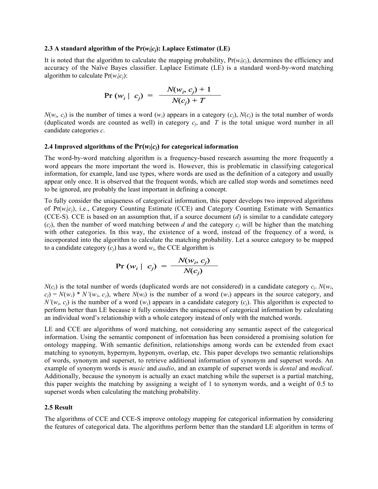#### **2.3** A standard algorithm of the  $Pr(w_i|c_i)$ : Laplace Estimator (LE)

It is noted that the algorithm to calculate the mapping probability,  $Pr(w_i|c_j)$ , determines the efficiency and accuracy of the Naïve Bayes classifier. Laplace Estimate (LE) is a standard word-by-word matching algorithm to calculate  $Pr(w_i|c_i)$ :

$$
Pr(w_i | c_j) = \frac{N(w_i, c_j) + 1}{N(c_j) + T}
$$

 $N(w_i, c_j)$  is the number of times a word  $(w_i)$  appears in a category  $(c_i)$ ,  $N(c_j)$  is the total number of words (duplicated words are counted as well) in category  $c_i$ , and  $T$  is the total unique word number in all candidate categories *c*.

### **2.4 Improved algorithms of the**  $Pr(w_i|c_i)$  **for categorical information**

The word-by-word matching algorithm is a frequency-based research assuming the more frequently a word appears the more important the word is. However, this is problematic in classifying categorical information, for example, land use types, where words are used as the definition of a category and usually appear only once. It is observed that the frequent words, which are called stop words and sometimes need to be ignored, are probably the least important in defining a concept.

To fully consider the uniqueness of categorical information, this paper develops two improved algorithms of Pr(*wi*|*cj*), i.e., Category Counting Estimate (CCE) and Category Counting Estimate with Semantics (CCE-S). CCE is based on an assumption that, if a source document  $(d)$  is similar to a candidate category  $(c<sub>i</sub>)$ , then the number of word matching between *d* and the category  $c<sub>i</sub>$  will be higher than the matching with other categories. In this way, the existence of a word, instead of the frequency of a word, is incorporated into the algorithm to calculate the matching probability. Let a source category to be mapped to a candidate category  $(c_i)$  has a word  $w_i$ , the CCE algorithm is

$$
\Pr(w_i \mid c_j) = \frac{N(w_i, c_j)}{N(c_j)}
$$

 $N(c_i)$  is the total number of words (duplicated words are not considered) in a candidate category  $c_i$ .  $N(w_i)$  $c_j$ ) =  $N(w_i) * N'(w_i, c_j)$ , where  $N(w_i)$  is the number of a word  $(w_i)$  appears in the source category, and  $N'(w_i, c_i)$  is the number of a word  $(w_i)$  appears in a candidate category  $(c_i)$ . This algorithm is expected to perform better than LE because it fully considers the uniqueness of categorical information by calculating an individual word's relationship with a whole category instead of only with the matched words.

LE and CCE are algorithms of word matching, not considering any semantic aspect of the categorical information. Using the semantic component of information has been considered a promising solution for ontology mapping. With semantic definition, relationships among words can be extended from exact matching to synonym, hypernym, hyponym, overlap, etc. This paper develops two semantic relationships of words, synonym and superset, to retrieve additional information of synonym and superset words. An example of synonym words is *music* and *audio*, and an example of superset words is *dental* and *medical*. Additionally, because the synonym is actually an exact matching while the superset is a partial matching, this paper weights the matching by assigning a weight of 1 to synonym words, and a weight of 0.5 to superset words when calculating the matching probability.

### **2.5 Result**

The algorithms of CCE and CCE-S improve ontology mapping for categorical information by considering the features of categorical data. The algorithms perform better than the standard LE algorithm in terms of